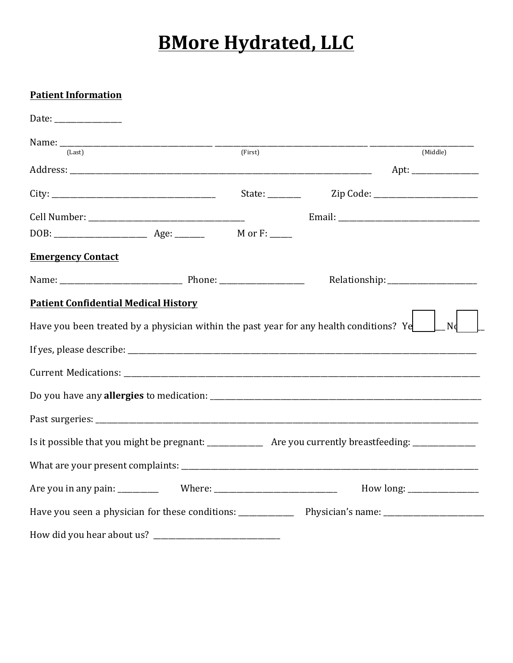## **Patient Information**

| (Last)                                                                                                     |                                                                                                                                                          | (First) |  | (Middle) |
|------------------------------------------------------------------------------------------------------------|----------------------------------------------------------------------------------------------------------------------------------------------------------|---------|--|----------|
|                                                                                                            |                                                                                                                                                          |         |  |          |
|                                                                                                            |                                                                                                                                                          |         |  |          |
|                                                                                                            |                                                                                                                                                          |         |  |          |
|                                                                                                            |                                                                                                                                                          |         |  |          |
| <b>Emergency Contact</b>                                                                                   |                                                                                                                                                          |         |  |          |
|                                                                                                            |                                                                                                                                                          |         |  |          |
|                                                                                                            | <b>Patient Confidential Medical History</b><br>Have you been treated by a physician within the past year for any health conditions? $Ye$ $\Box$ N $\Box$ |         |  |          |
|                                                                                                            |                                                                                                                                                          |         |  |          |
|                                                                                                            |                                                                                                                                                          |         |  |          |
|                                                                                                            |                                                                                                                                                          |         |  |          |
| Is it possible that you might be pregnant: _______________ Are you currently breastfeeding: ______________ |                                                                                                                                                          |         |  |          |
|                                                                                                            |                                                                                                                                                          |         |  |          |
|                                                                                                            |                                                                                                                                                          |         |  |          |
|                                                                                                            |                                                                                                                                                          |         |  |          |
|                                                                                                            |                                                                                                                                                          |         |  |          |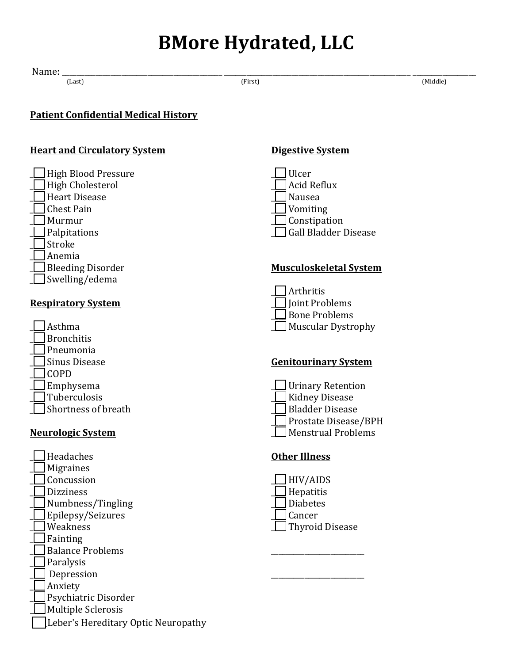Name: \_\_\_\_\_\_\_\_\_\_\_\_\_\_\_\_\_\_\_\_\_\_\_\_\_\_\_\_\_\_\_\_\_\_\_\_\_\_\_\_\_\_\_ \_\_\_\_\_\_\_\_\_\_\_\_\_\_\_\_\_\_\_\_\_\_\_\_\_\_\_\_\_\_\_\_\_\_\_\_\_\_\_\_\_\_\_\_\_\_\_\_\_\_ \_\_\_\_\_\_\_\_\_\_\_\_\_\_\_\_\_

(Last) (First) (Middle)

## **Patient Confidential Medical History**

## **Heart and Circulatory System**



 $\Box$  Swelling/edema

## **Respiratory System**

 $A$ sthma \_\_\_\_ Bronchitis  $\exists$  Pneumonia  $\Box$  Sinus Disease  $\sqsupset$ COPD  $\Box$  Emphysema  $\sqsupset$  Tuberculosis  $\Box$  Shortness of breath

## **Neurologic System**

- $\Box$  Headaches \_\_\_\_ Migraines  $\Box$  Concussion \_\_\_\_ Dizziness  $\Box$  Numbness/Tingling  $\Box$  Epilepsy/Seizures  $\Box$  Weakness
- $\Box$  Fainting
- $\Box$  Balance Problems
- $\Box$  Paralysis
- $\Box$  Depression
- $\Box$  Anxiety
- Psychiatric Disorder
- $\Box$  Multiple Sclerosis
- Leber's Hereditary Optic Neuropathy

## **Digestive System**

 $\exists$  Ulcer  $\Box$  Acid Reflux  $\Box$ Nausea  $\exists$  Vomiting  $\Box$  Constipation  $\Box$  Gall Bladder Disease

#### **Musculoskeletal System**

 $\Box$  Arthritis  $\Box$  Joint Problems \_\_\_\_ Bone Problems  $\Box$  Muscular Dystrophy

#### **Genitourinary System**

 $\Box$  Urinary Retention  $\Box$  Kidney Disease Bladder Disease Prostate Disease/BPH  $\Box$  Menstrual Problems

## **Other Illness**



\_\_\_\_\_\_\_\_\_\_\_\_\_\_\_\_\_\_\_\_\_\_\_\_\_

\_\_\_\_\_\_\_\_\_\_\_\_\_\_\_\_\_\_\_\_\_\_\_\_\_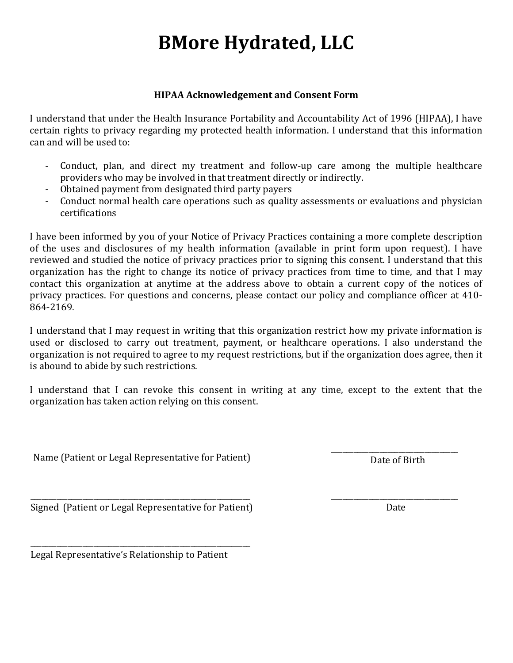#### **HIPAA Acknowledgement and Consent Form**

I understand that under the Health Insurance Portability and Accountability Act of 1996 (HIPAA), I have certain rights to privacy regarding my protected health information. I understand that this information can and will be used to:

- Conduct, plan, and direct my treatment and follow-up care among the multiple healthcare providers who may be involved in that treatment directly or indirectly.
- Obtained payment from designated third party payers
- Conduct normal health care operations such as quality assessments or evaluations and physician certifications

I have been informed by you of your Notice of Privacy Practices containing a more complete description of the uses and disclosures of my health information (available in print form upon request). I have reviewed and studied the notice of privacy practices prior to signing this consent. I understand that this organization has the right to change its notice of privacy practices from time to time, and that I may contact this organization at anytime at the address above to obtain a current copy of the notices of privacy practices. For questions and concerns, please contact our policy and compliance officer at 410-864-2169.

I understand that I may request in writing that this organization restrict how my private information is used or disclosed to carry out treatment, payment, or healthcare operations. I also understand the organization is not required to agree to my request restrictions, but if the organization does agree, then it is abound to abide by such restrictions.

I understand that I can revoke this consent in writing at any time, except to the extent that the organization has taken action relying on this consent.

Name (Patient or Legal Representative for Patient)

Date of Birth

\_\_\_\_\_\_\_\_\_\_\_\_\_\_\_\_\_\_\_\_\_\_\_\_\_\_\_\_\_\_\_\_\_\_

\_\_\_\_\_\_\_\_\_\_\_\_\_\_\_\_\_\_\_\_\_\_\_\_\_\_\_\_\_\_\_\_\_\_\_\_\_\_\_\_\_\_\_\_\_\_\_\_\_\_\_\_\_\_\_\_\_\_\_ Signed (Patient or Legal Representative for Patient) \_\_\_\_\_\_\_\_\_\_\_\_\_\_\_\_\_\_\_\_\_\_\_\_\_\_\_\_\_\_\_\_\_\_ Date

\_\_\_\_\_\_\_\_\_\_\_\_\_\_\_\_\_\_\_\_\_\_\_\_\_\_\_\_\_\_\_\_\_\_\_\_\_\_\_\_\_\_\_\_\_\_\_\_\_\_\_\_\_\_\_\_\_\_\_ Legal Representative's Relationship to Patient